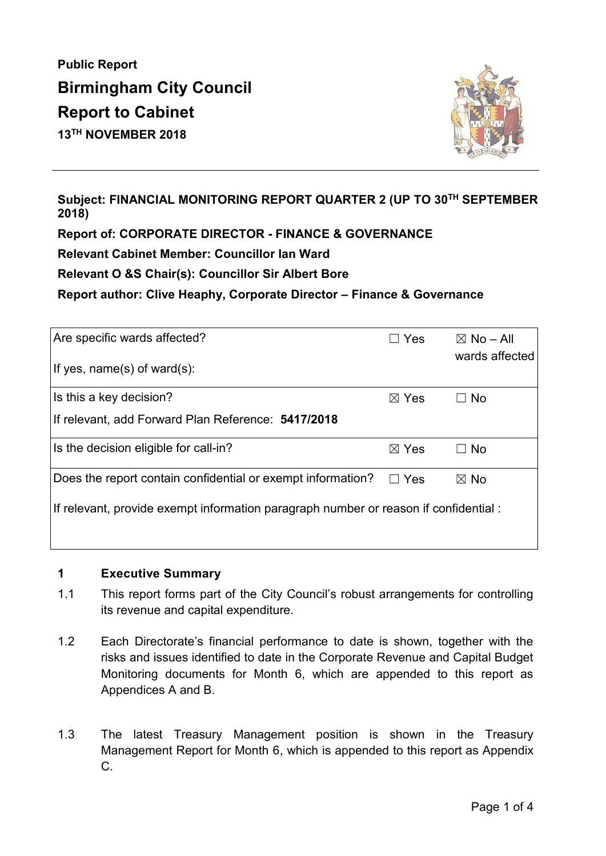**Public Report Birmingham City Council Report to Cabinet 13TH NOVEMBER 2018** 



**Subject: FINANCIAL MONITORING REPORT QUARTER 2 (UP TO 30TH SEPTEMBER 2018)** 

**Report of: CORPORATE DIRECTOR - FINANCE & GOVERNANCE** 

**Relevant Cabinet Member: Councillor Ian Ward** 

**Relevant O &S Chair(s): Councillor Sir Albert Bore** 

**Report author: Clive Heaphy, Corporate Director – Finance & Governance** 

| Are specific wards affected?<br>If yes, name(s) of ward(s):                          | Yes             | $\boxtimes$ No – All<br>wards affected |
|--------------------------------------------------------------------------------------|-----------------|----------------------------------------|
|                                                                                      |                 |                                        |
| Is this a key decision?                                                              | $\boxtimes$ Yes | $\Box$ No                              |
| If relevant, add Forward Plan Reference: 5417/2018                                   |                 |                                        |
| Is the decision eligible for call-in?                                                | $\boxtimes$ Yes | $\Box$ No                              |
| Does the report contain confidential or exempt information?                          | $\Box$ Yes      | $\boxtimes$ No                         |
| If relevant, provide exempt information paragraph number or reason if confidential : |                 |                                        |
|                                                                                      |                 |                                        |

#### **1 Executive Summary**

- 1.1 This report forms part of the City Council's robust arrangements for controlling its revenue and capital expenditure.
- 1.2 Each Directorate's financial performance to date is shown, together with the risks and issues identified to date in the Corporate Revenue and Capital Budget Monitoring documents for Month 6, which are appended to this report as Appendices A and B.
- 1.3 The latest Treasury Management position is shown in the Treasury Management Report for Month 6, which is appended to this report as Appendix C.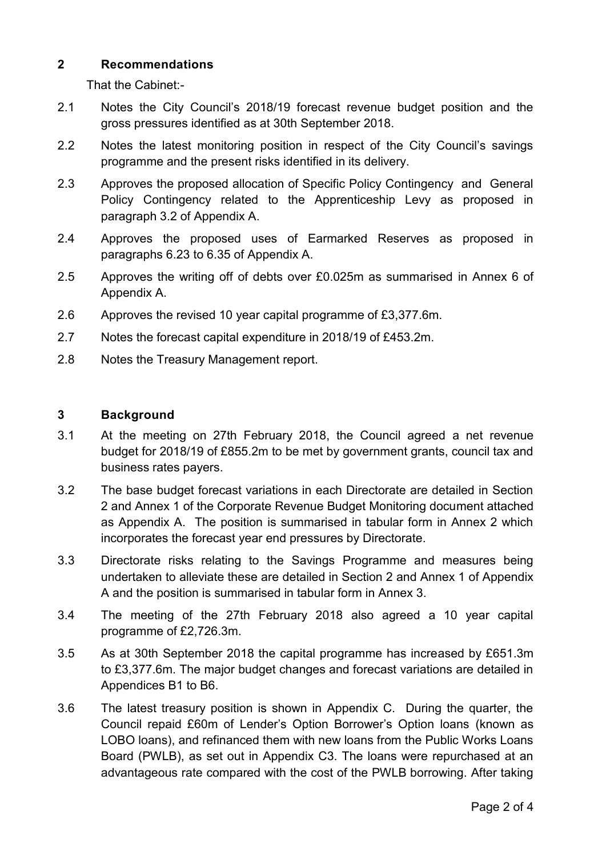### **2 Recommendations**

That the Cabinet:-

- 2.1 Notes the City Council's 2018/19 forecast revenue budget position and the gross pressures identified as at 30th September 2018.
- 2.2 Notes the latest monitoring position in respect of the City Council's savings programme and the present risks identified in its delivery.
- 2.3 Approves the proposed allocation of Specific Policy Contingency and General Policy Contingency related to the Apprenticeship Levy as proposed in paragraph 3.2 of Appendix A.
- 2.4 Approves the proposed uses of Earmarked Reserves as proposed in paragraphs 6.23 to 6.35 of Appendix A.
- 2.5 Approves the writing off of debts over £0.025m as summarised in Annex 6 of Appendix A.
- 2.6 Approves the revised 10 year capital programme of £3,377.6m.
- 2.7 Notes the forecast capital expenditure in 2018/19 of £453.2m.
- 2.8 Notes the Treasury Management report.

#### **3 Background**

- 3.1 At the meeting on 27th February 2018, the Council agreed a net revenue budget for 2018/19 of £855.2m to be met by government grants, council tax and business rates payers.
- 3.2 The base budget forecast variations in each Directorate are detailed in Section 2 and Annex 1 of the Corporate Revenue Budget Monitoring document attached as Appendix A. The position is summarised in tabular form in Annex 2 which incorporates the forecast year end pressures by Directorate.
- 3.3 Directorate risks relating to the Savings Programme and measures being undertaken to alleviate these are detailed in Section 2 and Annex 1 of Appendix A and the position is summarised in tabular form in Annex 3.
- 3.4 The meeting of the 27th February 2018 also agreed a 10 year capital programme of £2,726.3m.
- 3.5 As at 30th September 2018 the capital programme has increased by £651.3m to £3,377.6m. The major budget changes and forecast variations are detailed in Appendices B1 to B6.
- 3.6 The latest treasury position is shown in Appendix C. During the quarter, the Council repaid £60m of Lender's Option Borrower's Option loans (known as LOBO loans), and refinanced them with new loans from the Public Works Loans Board (PWLB), as set out in Appendix C3. The loans were repurchased at an advantageous rate compared with the cost of the PWLB borrowing. After taking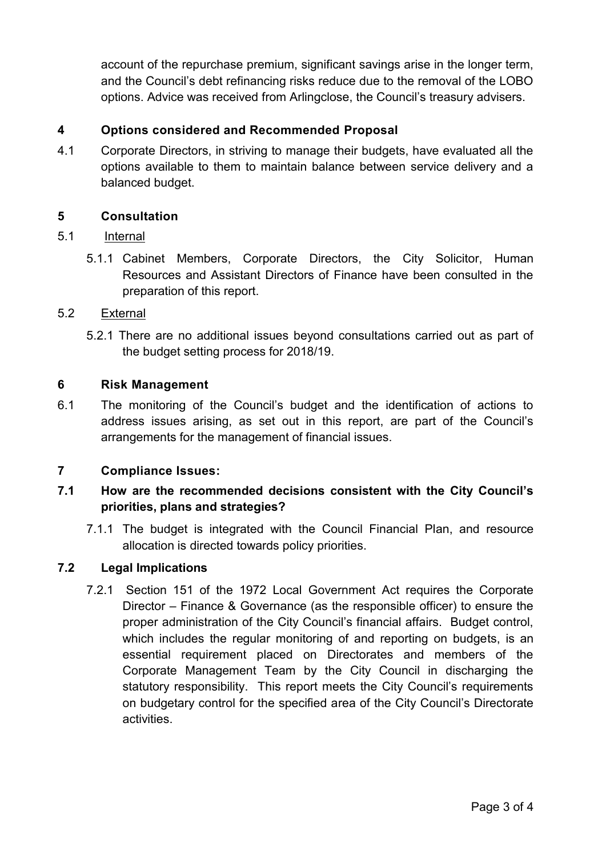account of the repurchase premium, significant savings arise in the longer term, and the Council's debt refinancing risks reduce due to the removal of the LOBO options. Advice was received from Arlingclose, the Council's treasury advisers.

## **4 Options considered and Recommended Proposal**

4.1 Corporate Directors, in striving to manage their budgets, have evaluated all the options available to them to maintain balance between service delivery and a balanced budget.

## **5 Consultation**

## 5.1 Internal

5.1.1 Cabinet Members, Corporate Directors, the City Solicitor, Human Resources and Assistant Directors of Finance have been consulted in the preparation of this report.

## 5.2 External

5.2.1 There are no additional issues beyond consultations carried out as part of the budget setting process for 2018/19.

## **6 Risk Management**

6.1 The monitoring of the Council's budget and the identification of actions to address issues arising, as set out in this report, are part of the Council's arrangements for the management of financial issues.

## **7 Compliance Issues:**

# **7.1 How are the recommended decisions consistent with the City Council's priorities, plans and strategies?**

7.1.1 The budget is integrated with the Council Financial Plan, and resource allocation is directed towards policy priorities.

## **7.2 Legal Implications**

7.2.1 Section 151 of the 1972 Local Government Act requires the Corporate Director – Finance & Governance (as the responsible officer) to ensure the proper administration of the City Council's financial affairs. Budget control, which includes the regular monitoring of and reporting on budgets, is an essential requirement placed on Directorates and members of the Corporate Management Team by the City Council in discharging the statutory responsibility. This report meets the City Council's requirements on budgetary control for the specified area of the City Council's Directorate activities.